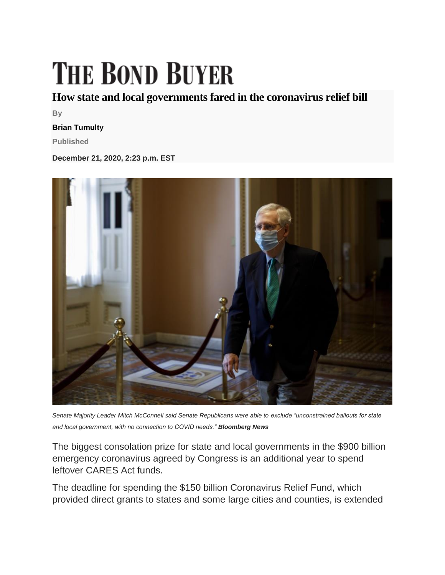## **THE BOND BUYER**

## **How state and local governments fared in the coronavirus relief bill**

**By**

## **Brian Tumulty**

**Published**

**December 21, 2020, 2:23 p.m. EST**



*Senate Majority Leader Mitch McConnell said Senate Republicans were able to exclude "unconstrained bailouts for state and local government, with no connection to COVID needs." Bloomberg News*

The biggest consolation prize for state and local governments in the \$900 billion emergency coronavirus agreed by Congress is an additional year to spend leftover CARES Act funds.

The deadline for spending the \$150 billion Coronavirus Relief Fund, which provided direct grants to states and some large cities and counties, is extended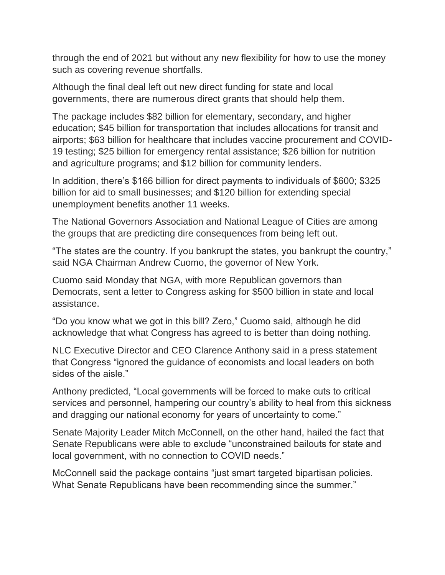through the end of 2021 but without any new flexibility for how to use the money such as covering revenue shortfalls.

Although the final deal left out new direct funding for state and local governments, there are numerous direct grants that should help them.

The package includes \$82 billion for elementary, secondary, and higher education; \$45 billion for transportation that includes allocations for transit and airports; \$63 billion for healthcare that includes vaccine procurement and COVID-19 testing; \$25 billion for emergency rental assistance; \$26 billion for nutrition and agriculture programs; and \$12 billion for community lenders.

In addition, there's \$166 billion for direct payments to individuals of \$600; \$325 billion for aid to small businesses; and \$120 billion for extending special unemployment benefits another 11 weeks.

The National Governors Association and National League of Cities are among the groups that are predicting dire consequences from being left out.

"The states are the country. If you bankrupt the states, you bankrupt the country," said NGA Chairman Andrew Cuomo, the governor of New York.

Cuomo said Monday that NGA, with more Republican governors than Democrats, sent a letter to Congress asking for \$500 billion in state and local assistance.

"Do you know what we got in this bill? Zero," Cuomo said, although he did acknowledge that what Congress has agreed to is better than doing nothing.

NLC Executive Director and CEO Clarence Anthony said in a press statement that Congress "ignored the guidance of economists and local leaders on both sides of the aisle."

Anthony predicted, "Local governments will be forced to make cuts to critical services and personnel, hampering our country's ability to heal from this sickness and dragging our national economy for years of uncertainty to come."

Senate Majority Leader Mitch McConnell, on the other hand, hailed the fact that Senate Republicans were able to exclude "unconstrained bailouts for state and local government, with no connection to COVID needs."

McConnell said the package contains "just smart targeted bipartisan policies. What Senate Republicans have been recommending since the summer."